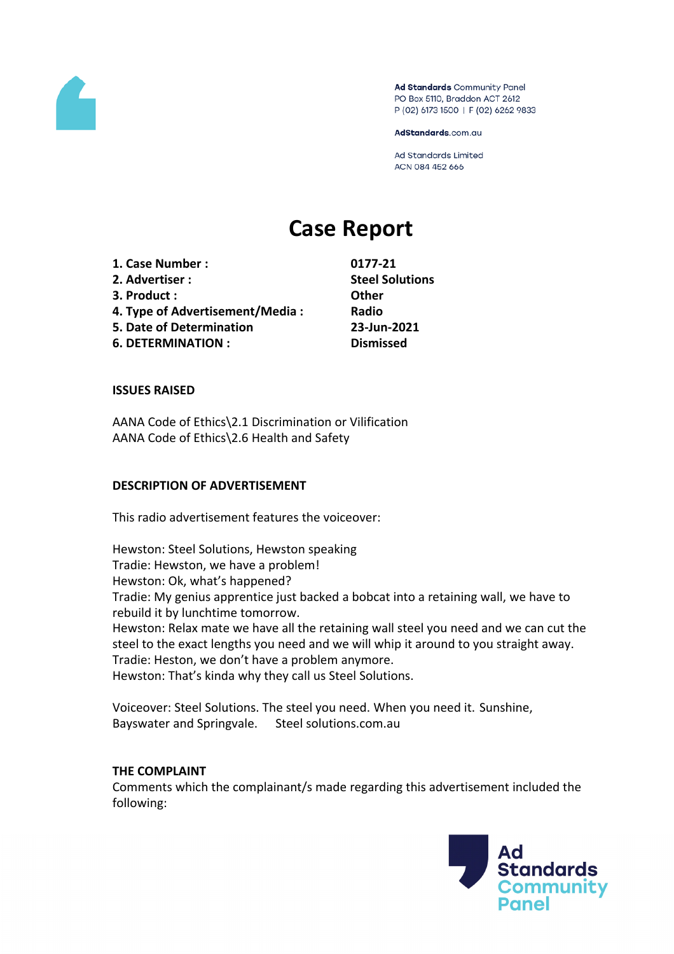

Ad Standards Community Panel PO Box 5110, Braddon ACT 2612 P (02) 6173 1500 | F (02) 6262 9833

AdStandards.com.au

**Ad Standards Limited** ACN 084 452 666

# **Case Report**

**1. Case Number : 0177-21 2. Advertiser : Steel Solutions 3. Product : Other 4. Type of Advertisement/Media : Radio 5. Date of Determination 23-Jun-2021 6. DETERMINATION : Dismissed**

#### **ISSUES RAISED**

AANA Code of Ethics\2.1 Discrimination or Vilification AANA Code of Ethics\2.6 Health and Safety

#### **DESCRIPTION OF ADVERTISEMENT**

This radio advertisement features the voiceover:

Hewston: Steel Solutions, Hewston speaking Tradie: Hewston, we have a problem! Hewston: Ok, what's happened? Tradie: My genius apprentice just backed a bobcat into a retaining wall, we have to rebuild it by lunchtime tomorrow. Hewston: Relax mate we have all the retaining wall steel you need and we can cut the steel to the exact lengths you need and we will whip it around to you straight away. Tradie: Heston, we don't have a problem anymore. Hewston: That's kinda why they call us Steel Solutions.

Voiceover: Steel Solutions. The steel you need. When you need it. Sunshine, Bayswater and Springvale. Steel solutions.com.au

#### **THE COMPLAINT**

Comments which the complainant/s made regarding this advertisement included the following:

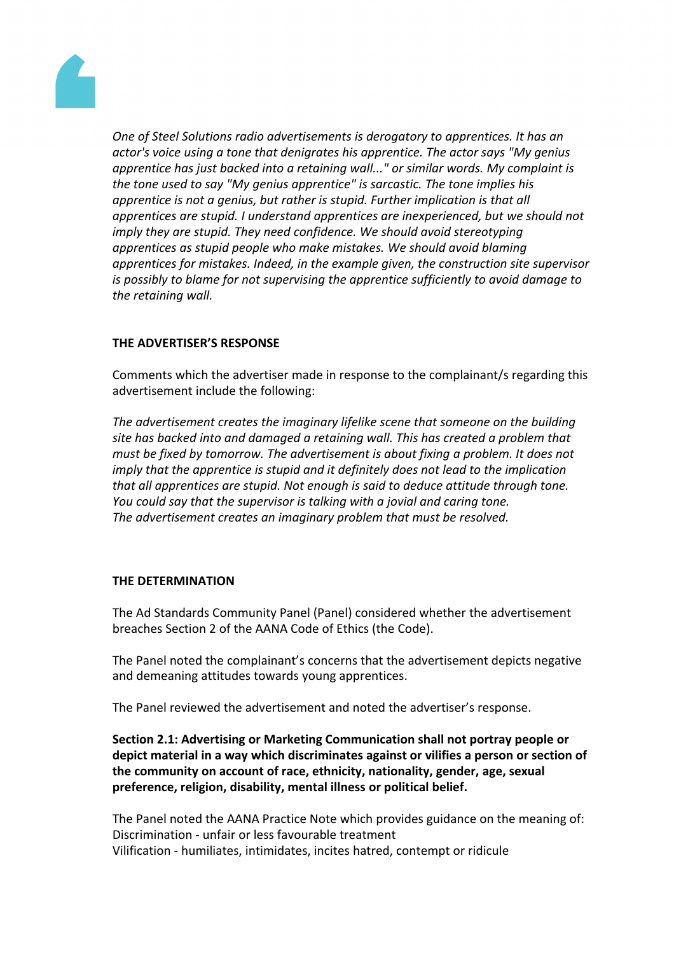

*One of Steel Solutions radio advertisements is derogatory to apprentices. It has an actor's voice using a tone that denigrates his apprentice. The actor says "My genius apprentice has just backed into a retaining wall..." or similar words. My complaint is the tone used to say "My genius apprentice" is sarcastic. The tone implies his apprentice is not a genius, but rather is stupid. Further implication is that all apprentices are stupid. I understand apprentices are inexperienced, but we should not imply they are stupid. They need confidence. We should avoid stereotyping apprentices as stupid people who make mistakes. We should avoid blaming apprentices for mistakes. Indeed, in the example given, the construction site supervisor is possibly to blame for not supervising the apprentice sufficiently to avoid damage to the retaining wall.*

# **THE ADVERTISER'S RESPONSE**

Comments which the advertiser made in response to the complainant/s regarding this advertisement include the following:

*The advertisement creates the imaginary lifelike scene that someone on the building site has backed into and damaged a retaining wall. This has created a problem that must be fixed by tomorrow. The advertisement is about fixing a problem. It does not imply that the apprentice is stupid and it definitely does not lead to the implication that all apprentices are stupid. Not enough is said to deduce attitude through tone. You could say that the supervisor is talking with a jovial and caring tone. The advertisement creates an imaginary problem that must be resolved.*

## **THE DETERMINATION**

The Ad Standards Community Panel (Panel) considered whether the advertisement breaches Section 2 of the AANA Code of Ethics (the Code).

The Panel noted the complainant's concerns that the advertisement depicts negative and demeaning attitudes towards young apprentices.

The Panel reviewed the advertisement and noted the advertiser's response.

**Section 2.1: Advertising or Marketing Communication shall not portray people or depict material in a way which discriminates against or vilifies a person or section of the community on account of race, ethnicity, nationality, gender, age, sexual preference, religion, disability, mental illness or political belief.**

The Panel noted the AANA Practice Note which provides guidance on the meaning of: Discrimination - unfair or less favourable treatment Vilification - humiliates, intimidates, incites hatred, contempt or ridicule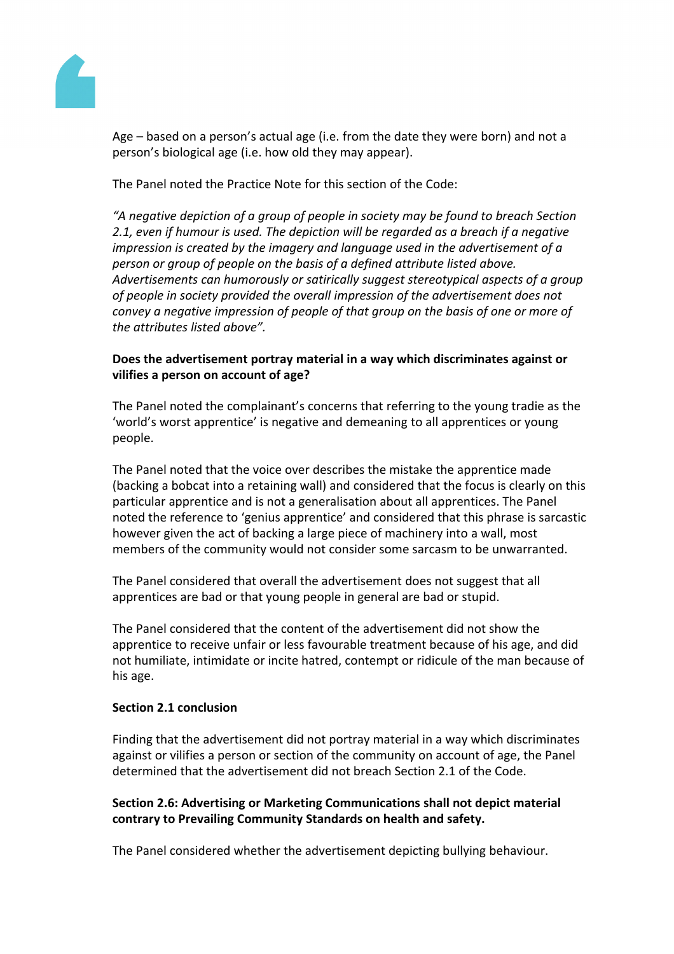

Age – based on a person's actual age (i.e. from the date they were born) and not a person's biological age (i.e. how old they may appear).

The Panel noted the Practice Note for this section of the Code:

*"A negative depiction of a group of people in society may be found to breach Section 2.1, even if humour is used. The depiction will be regarded as a breach if a negative impression is created by the imagery and language used in the advertisement of a person or group of people on the basis of a defined attribute listed above. Advertisements can humorously or satirically suggest stereotypical aspects of a group of people in society provided the overall impression of the advertisement does not convey a negative impression of people of that group on the basis of one or more of the attributes listed above".*

# **Does the advertisement portray material in a way which discriminates against or vilifies a person on account of age?**

The Panel noted the complainant's concerns that referring to the young tradie as the 'world's worst apprentice' is negative and demeaning to all apprentices or young people.

The Panel noted that the voice over describes the mistake the apprentice made (backing a bobcat into a retaining wall) and considered that the focus is clearly on this particular apprentice and is not a generalisation about all apprentices. The Panel noted the reference to 'genius apprentice' and considered that this phrase is sarcastic however given the act of backing a large piece of machinery into a wall, most members of the community would not consider some sarcasm to be unwarranted.

The Panel considered that overall the advertisement does not suggest that all apprentices are bad or that young people in general are bad or stupid.

The Panel considered that the content of the advertisement did not show the apprentice to receive unfair or less favourable treatment because of his age, and did not humiliate, intimidate or incite hatred, contempt or ridicule of the man because of his age.

## **Section 2.1 conclusion**

Finding that the advertisement did not portray material in a way which discriminates against or vilifies a person or section of the community on account of age, the Panel determined that the advertisement did not breach Section 2.1 of the Code.

# **Section 2.6: Advertising or Marketing Communications shall not depict material contrary to Prevailing Community Standards on health and safety.**

The Panel considered whether the advertisement depicting bullying behaviour.